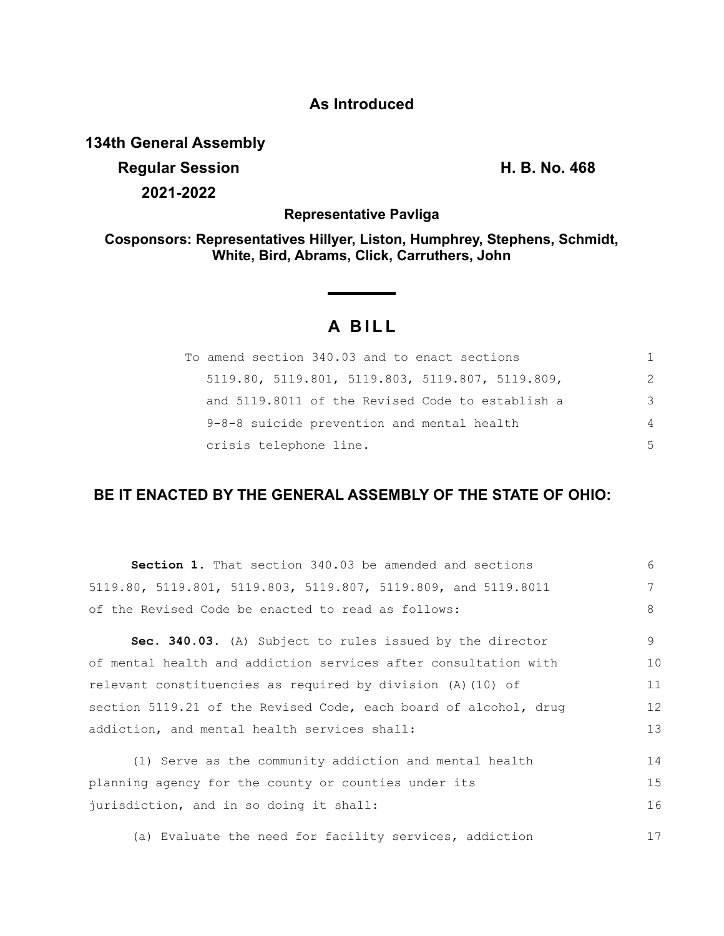## **As Introduced**

**134th General Assembly**

**Regular Session H. B. No. 468 2021-2022**

**Representative Pavliga**

**Cosponsors: Representatives Hillyer, Liston, Humphrey, Stephens, Schmidt, White, Bird, Abrams, Click, Carruthers, John**

# **A BILL**

| To amend section 340.03 and to enact sections      |    |
|----------------------------------------------------|----|
| $5119.80, 5119.801, 5119.803, 5119.807, 5119.809,$ | 2  |
| and 5119.8011 of the Revised Code to establish a   | 3  |
| 9-8-8 suicide prevention and mental health         | 4  |
| crisis telephone line.                             | .5 |

### **BE IT ENACTED BY THE GENERAL ASSEMBLY OF THE STATE OF OHIO:**

| <b>Section 1.</b> That section 340.03 be amended and sections    | 6  |
|------------------------------------------------------------------|----|
| 5119.80, 5119.801, 5119.803, 5119.807, 5119.809, and 5119.8011   | 7  |
| of the Revised Code be enacted to read as follows:               | 8  |
| Sec. 340.03. (A) Subject to rules issued by the director         | 9  |
| of mental health and addiction services after consultation with  | 10 |
| relevant constituencies as required by division (A) (10) of      | 11 |
| section 5119.21 of the Revised Code, each board of alcohol, drug | 12 |
| addiction, and mental health services shall:                     | 13 |
| (1) Serve as the community addiction and mental health           | 14 |
| planning agency for the county or counties under its             | 15 |
| jurisdiction, and in so doing it shall:                          | 16 |
| (a) Evaluate the need for facility services, addiction           | 17 |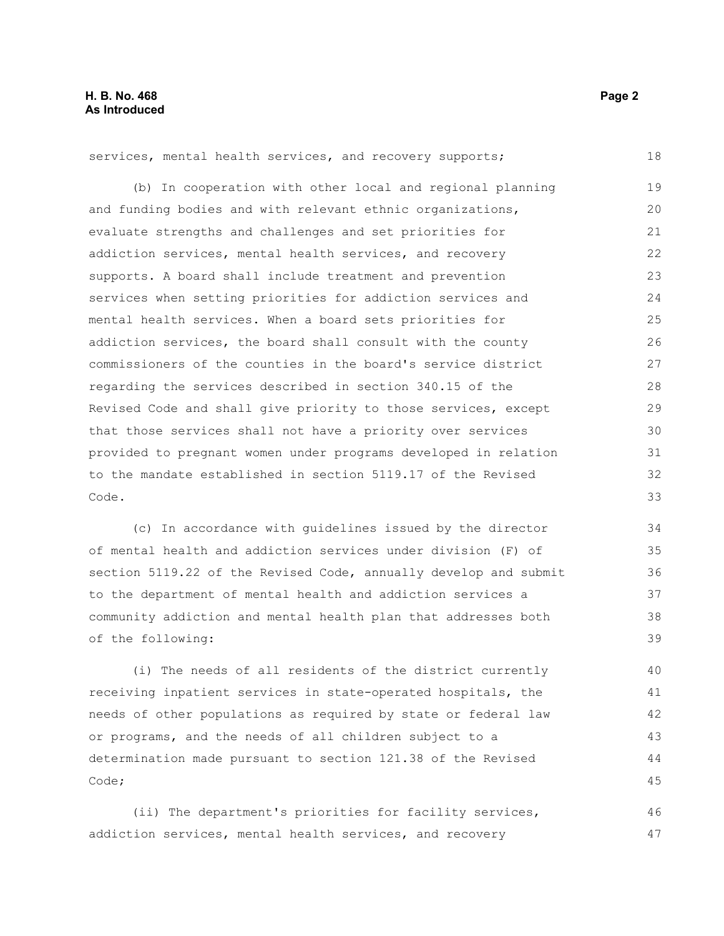(b) In cooperation with other local and regional planning and funding bodies and with relevant ethnic organizations, evaluate strengths and challenges and set priorities for addiction services, mental health services, and recovery supports. A board shall include treatment and prevention services when setting priorities for addiction services and mental health services. When a board sets priorities for addiction services, the board shall consult with the county commissioners of the counties in the board's service district regarding the services described in section 340.15 of the Revised Code and shall give priority to those services, except that those services shall not have a priority over services provided to pregnant women under programs developed in relation to the mandate established in section 5119.17 of the Revised Code. 19 20 21 22 23  $24$ 25 26 27 28 29 30 31 32 33

services, mental health services, and recovery supports;

(c) In accordance with guidelines issued by the director of mental health and addiction services under division (F) of section 5119.22 of the Revised Code, annually develop and submit to the department of mental health and addiction services a community addiction and mental health plan that addresses both of the following:

(i) The needs of all residents of the district currently receiving inpatient services in state-operated hospitals, the needs of other populations as required by state or federal law or programs, and the needs of all children subject to a determination made pursuant to section 121.38 of the Revised Code; 40 41 42 43 44 45

(ii) The department's priorities for facility services, addiction services, mental health services, and recovery 46 47

18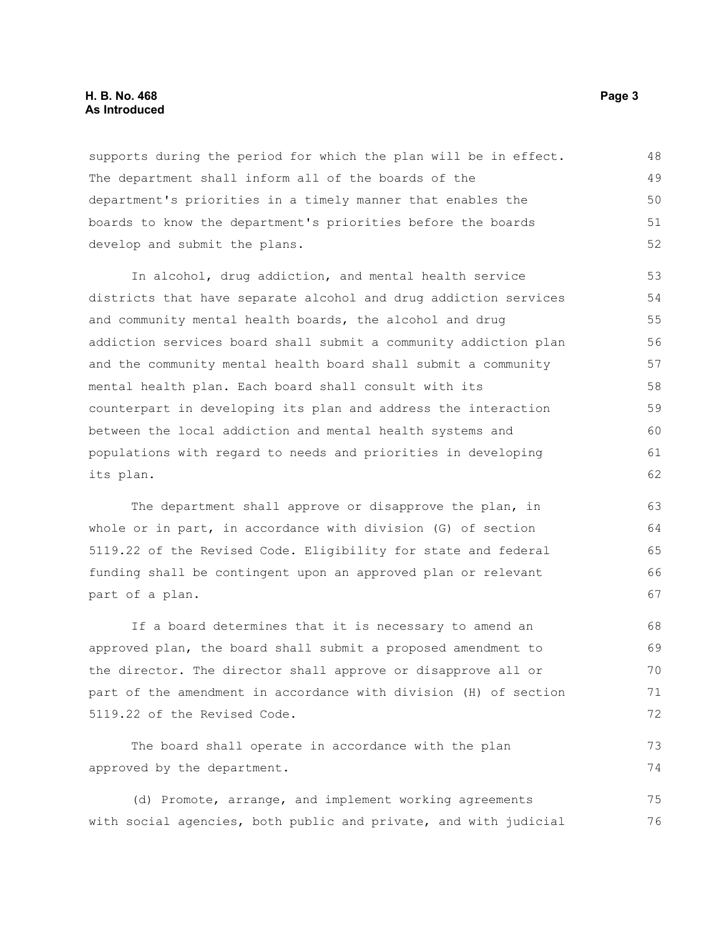#### **H. B. No. 468** Page 3 **As Introduced**

supports during the period for which the plan will be in effect. The department shall inform all of the boards of the department's priorities in a timely manner that enables the boards to know the department's priorities before the boards develop and submit the plans. 48 49 50 51 52

In alcohol, drug addiction, and mental health service districts that have separate alcohol and drug addiction services and community mental health boards, the alcohol and drug addiction services board shall submit a community addiction plan and the community mental health board shall submit a community mental health plan. Each board shall consult with its counterpart in developing its plan and address the interaction between the local addiction and mental health systems and populations with regard to needs and priorities in developing its plan. 53 54 55 56 57 58 59 60 61 62

The department shall approve or disapprove the plan, in whole or in part, in accordance with division (G) of section 5119.22 of the Revised Code. Eligibility for state and federal funding shall be contingent upon an approved plan or relevant part of a plan.

If a board determines that it is necessary to amend an approved plan, the board shall submit a proposed amendment to the director. The director shall approve or disapprove all or part of the amendment in accordance with division (H) of section 5119.22 of the Revised Code. 68 69 70 71 72

The board shall operate in accordance with the plan approved by the department. 73 74

(d) Promote, arrange, and implement working agreements with social agencies, both public and private, and with judicial 75 76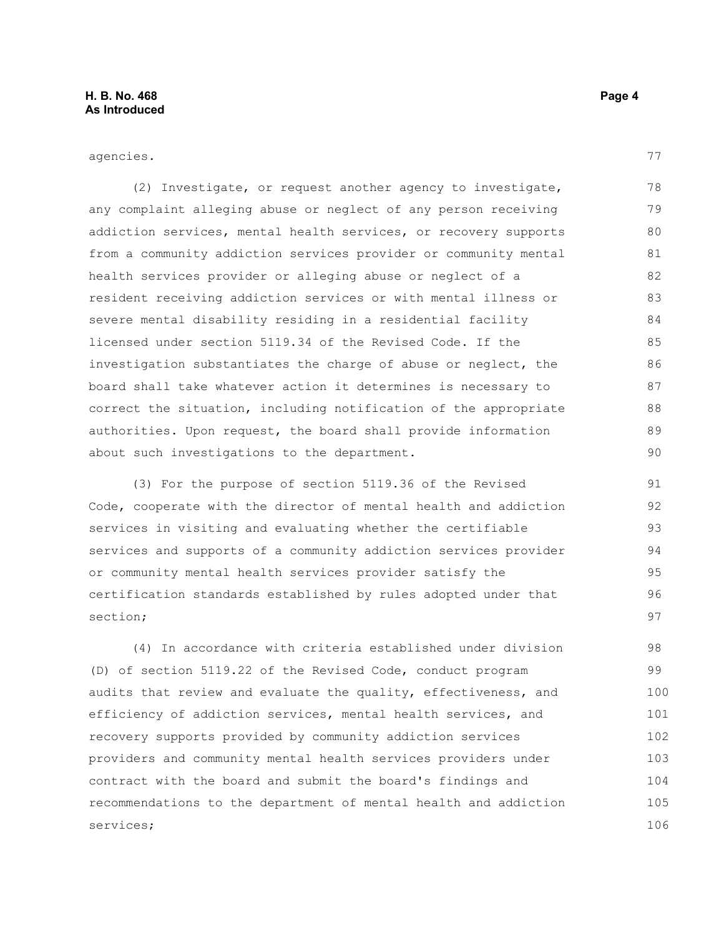agencies.

(2) Investigate, or request another agency to investigate, any complaint alleging abuse or neglect of any person receiving addiction services, mental health services, or recovery supports from a community addiction services provider or community mental health services provider or alleging abuse or neglect of a resident receiving addiction services or with mental illness or severe mental disability residing in a residential facility licensed under section 5119.34 of the Revised Code. If the investigation substantiates the charge of abuse or neglect, the board shall take whatever action it determines is necessary to correct the situation, including notification of the appropriate authorities. Upon request, the board shall provide information about such investigations to the department. 78 79 80 81 82 83 84 85 86 87 88 89 90

(3) For the purpose of section 5119.36 of the Revised Code, cooperate with the director of mental health and addiction services in visiting and evaluating whether the certifiable services and supports of a community addiction services provider or community mental health services provider satisfy the certification standards established by rules adopted under that section;

(4) In accordance with criteria established under division (D) of section 5119.22 of the Revised Code, conduct program audits that review and evaluate the quality, effectiveness, and efficiency of addiction services, mental health services, and recovery supports provided by community addiction services providers and community mental health services providers under contract with the board and submit the board's findings and recommendations to the department of mental health and addiction services; 98 99 100 101 102 103 104 105 106

77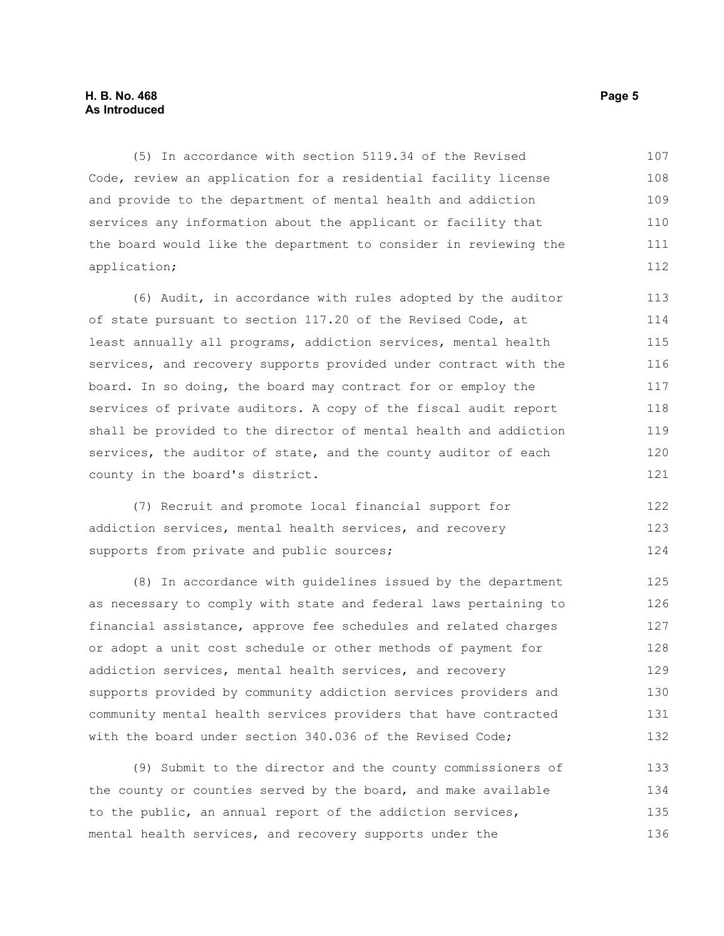#### **H. B. No. 468** Page 5 **As Introduced**

(5) In accordance with section 5119.34 of the Revised Code, review an application for a residential facility license and provide to the department of mental health and addiction services any information about the applicant or facility that the board would like the department to consider in reviewing the application; 107 108 109 110 111 112

(6) Audit, in accordance with rules adopted by the auditor of state pursuant to section 117.20 of the Revised Code, at least annually all programs, addiction services, mental health services, and recovery supports provided under contract with the board. In so doing, the board may contract for or employ the services of private auditors. A copy of the fiscal audit report shall be provided to the director of mental health and addiction services, the auditor of state, and the county auditor of each county in the board's district. 113 114 115 116 117 118 119 120 121

(7) Recruit and promote local financial support for addiction services, mental health services, and recovery supports from private and public sources; 122 123 124

(8) In accordance with guidelines issued by the department as necessary to comply with state and federal laws pertaining to financial assistance, approve fee schedules and related charges or adopt a unit cost schedule or other methods of payment for addiction services, mental health services, and recovery supports provided by community addiction services providers and community mental health services providers that have contracted with the board under section 340.036 of the Revised Code; 125 126 127 128 129 130 131 132

(9) Submit to the director and the county commissioners of the county or counties served by the board, and make available to the public, an annual report of the addiction services, mental health services, and recovery supports under the 133 134 135 136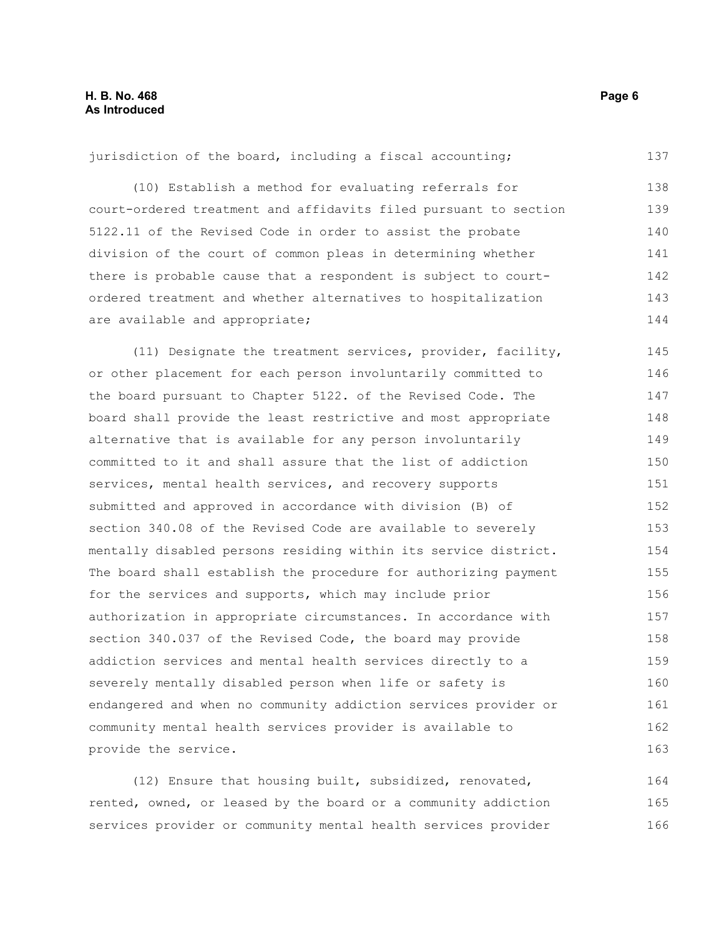jurisdiction of the board, including a fiscal accounting; (10) Establish a method for evaluating referrals for 137 138

court-ordered treatment and affidavits filed pursuant to section 5122.11 of the Revised Code in order to assist the probate division of the court of common pleas in determining whether there is probable cause that a respondent is subject to courtordered treatment and whether alternatives to hospitalization are available and appropriate; 139 140 141 142 143 144

(11) Designate the treatment services, provider, facility, or other placement for each person involuntarily committed to the board pursuant to Chapter 5122. of the Revised Code. The board shall provide the least restrictive and most appropriate alternative that is available for any person involuntarily committed to it and shall assure that the list of addiction services, mental health services, and recovery supports submitted and approved in accordance with division (B) of section 340.08 of the Revised Code are available to severely mentally disabled persons residing within its service district. The board shall establish the procedure for authorizing payment for the services and supports, which may include prior authorization in appropriate circumstances. In accordance with section 340.037 of the Revised Code, the board may provide addiction services and mental health services directly to a severely mentally disabled person when life or safety is endangered and when no community addiction services provider or community mental health services provider is available to provide the service. 145 146 147 148 149 150 151 152 153 154 155 156 157 158 159 160 161 162 163

(12) Ensure that housing built, subsidized, renovated, rented, owned, or leased by the board or a community addiction services provider or community mental health services provider 164 165 166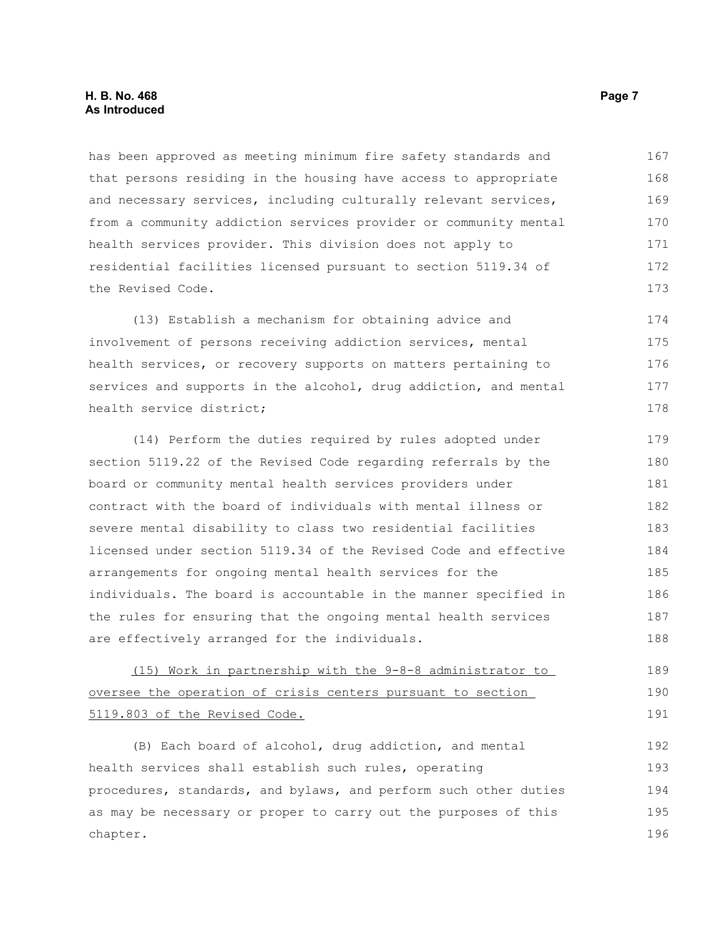#### **H. B. No. 468** Page 7 **As Introduced**

has been approved as meeting minimum fire safety standards and that persons residing in the housing have access to appropriate and necessary services, including culturally relevant services, from a community addiction services provider or community mental health services provider. This division does not apply to residential facilities licensed pursuant to section 5119.34 of the Revised Code. 167 168 169 170 171 172 173

(13) Establish a mechanism for obtaining advice and involvement of persons receiving addiction services, mental health services, or recovery supports on matters pertaining to services and supports in the alcohol, drug addiction, and mental health service district; 174 175 176 177 178

(14) Perform the duties required by rules adopted under section 5119.22 of the Revised Code regarding referrals by the board or community mental health services providers under contract with the board of individuals with mental illness or severe mental disability to class two residential facilities licensed under section 5119.34 of the Revised Code and effective arrangements for ongoing mental health services for the individuals. The board is accountable in the manner specified in the rules for ensuring that the ongoing mental health services are effectively arranged for the individuals. 179 180 181 182 183 184 185 186 187 188

(15) Work in partnership with the 9-8-8 administrator to oversee the operation of crisis centers pursuant to section 5119.803 of the Revised Code. 189 190 191

(B) Each board of alcohol, drug addiction, and mental health services shall establish such rules, operating procedures, standards, and bylaws, and perform such other duties as may be necessary or proper to carry out the purposes of this chapter. 192 193 194 195 196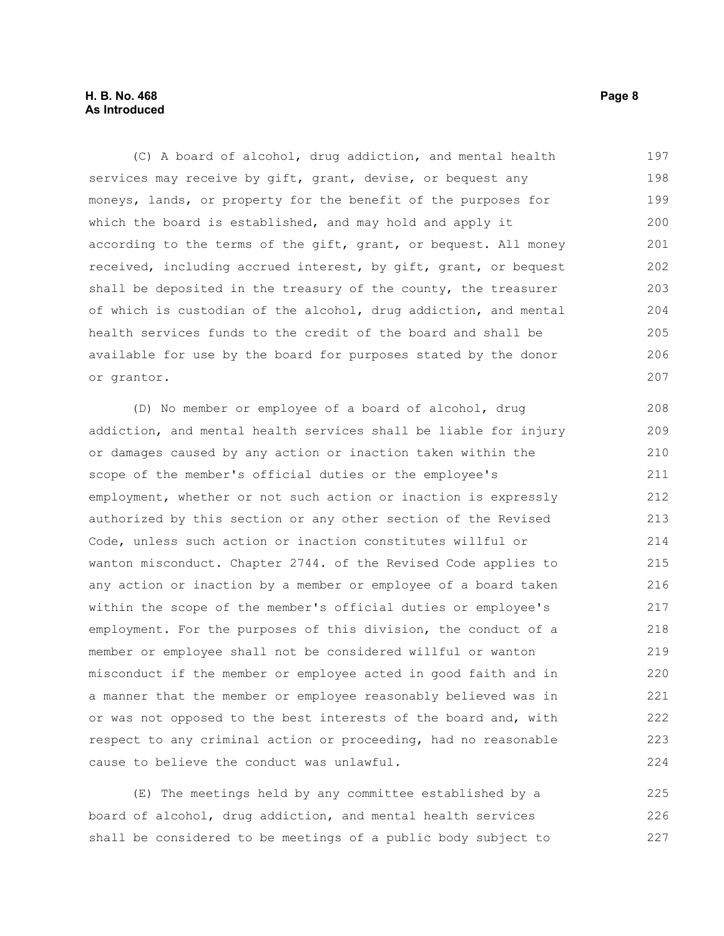#### **H. B. No. 468** Page 8 **As Introduced**

(C) A board of alcohol, drug addiction, and mental health services may receive by gift, grant, devise, or bequest any moneys, lands, or property for the benefit of the purposes for which the board is established, and may hold and apply it according to the terms of the gift, grant, or bequest. All money received, including accrued interest, by gift, grant, or bequest shall be deposited in the treasury of the county, the treasurer of which is custodian of the alcohol, drug addiction, and mental health services funds to the credit of the board and shall be available for use by the board for purposes stated by the donor or grantor. 197 198 199 200 201 202 203 204 205 206 207

(D) No member or employee of a board of alcohol, drug addiction, and mental health services shall be liable for injury or damages caused by any action or inaction taken within the scope of the member's official duties or the employee's employment, whether or not such action or inaction is expressly authorized by this section or any other section of the Revised Code, unless such action or inaction constitutes willful or wanton misconduct. Chapter 2744. of the Revised Code applies to any action or inaction by a member or employee of a board taken within the scope of the member's official duties or employee's employment. For the purposes of this division, the conduct of a member or employee shall not be considered willful or wanton misconduct if the member or employee acted in good faith and in a manner that the member or employee reasonably believed was in or was not opposed to the best interests of the board and, with respect to any criminal action or proceeding, had no reasonable cause to believe the conduct was unlawful. 208 209 210 211 212 213 214 215 216 217 218 219 220 221 222 223 224

(E) The meetings held by any committee established by a board of alcohol, drug addiction, and mental health services shall be considered to be meetings of a public body subject to 225 226 227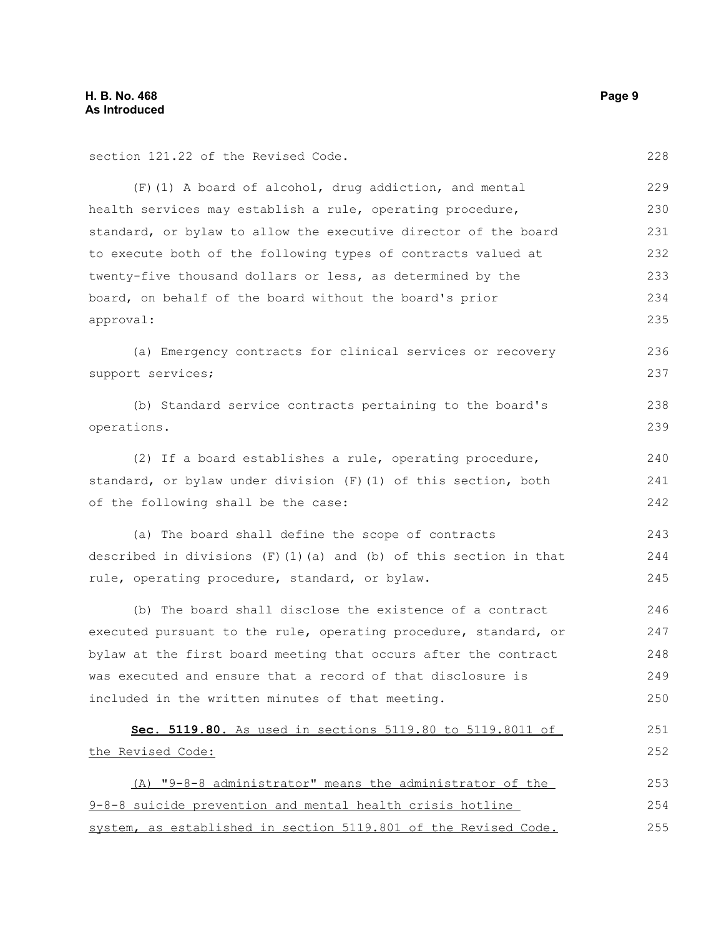section 121.22 of the Revised Code.

(F)(1) A board of alcohol, drug addiction, and mental health services may establish a rule, operating procedure, standard, or bylaw to allow the executive director of the board to execute both of the following types of contracts valued at twenty-five thousand dollars or less, as determined by the board, on behalf of the board without the board's prior approval: 229 230 231 232 233 234 235

(a) Emergency contracts for clinical services or recovery support services; 236 237

|             |  |  | (b) Standard service contracts pertaining to the board's |  |  | 238 |
|-------------|--|--|----------------------------------------------------------|--|--|-----|
| operations. |  |  |                                                          |  |  | 239 |

(2) If a board establishes a rule, operating procedure, standard, or bylaw under division (F)(1) of this section, both of the following shall be the case: 240 241 242

(a) The board shall define the scope of contracts described in divisions  $(F)(1)(a)$  and  $(b)$  of this section in that rule, operating procedure, standard, or bylaw. 243 244 245

(b) The board shall disclose the existence of a contract executed pursuant to the rule, operating procedure, standard, or bylaw at the first board meeting that occurs after the contract was executed and ensure that a record of that disclosure is included in the written minutes of that meeting. 246 247 248 249 250

```
 Sec. 5119.80. As used in sections 5119.80 to 5119.8011 of
the Revised Code:
     (A) "9-8-8 administrator" means the administrator of the
9-8-8 suicide prevention and mental health crisis hotline
                                                                           251
                                                                           252
                                                                           253
                                                                           254
```
system, as established in section 5119.801 of the Revised Code. 255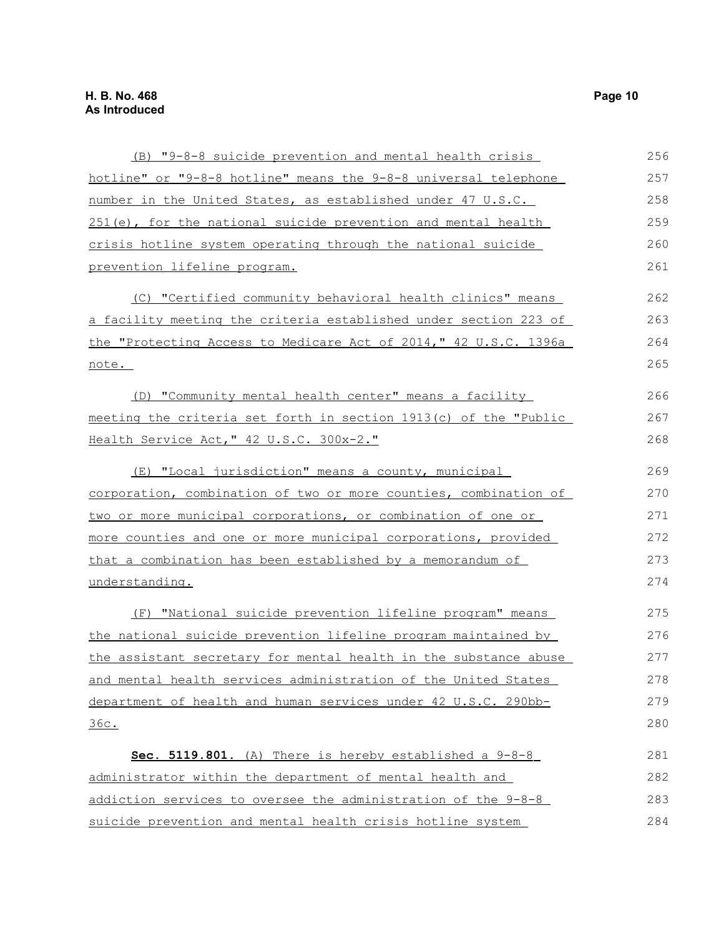| (B) "9-8-8 suicide prevention and mental health crisis                | 256 |
|-----------------------------------------------------------------------|-----|
| hotline" or "9-8-8 hotline" means the 9-8-8 universal telephone       | 257 |
| number in the United States, as established under 47 U.S.C.           | 258 |
| 251(e), for the national suicide prevention and mental health         | 259 |
| crisis hotline system operating through the national suicide          | 260 |
| prevention lifeline program.                                          | 261 |
| (C) "Certified community behavioral health clinics" means             | 262 |
| a facility meeting the criteria established under section 223 of      | 263 |
| the "Protecting Access to Medicare Act of 2014," 42 U.S.C. 1396a      | 264 |
| note.                                                                 | 265 |
| (D) "Community mental health center" means a facility                 | 266 |
| meeting the criteria set forth in section 1913(c) of the "Public      | 267 |
| Health Service Act, " 42 U.S.C. 300x-2."                              | 268 |
| (E) "Local jurisdiction" means a county, municipal                    | 269 |
| corporation, combination of two or more counties, combination of      | 270 |
| two or more municipal corporations, or combination of one or          | 271 |
| more counties and one or more municipal corporations, provided        | 272 |
| that a combination has been established by a memorandum of            | 273 |
| understanding.                                                        | 274 |
| (F) "National suicide prevention lifeline program" means              | 275 |
| the national suicide prevention lifeline program maintained by        | 276 |
| the assistant secretary for mental health in the substance abuse      | 277 |
| <u>and mental health services administration of the United States</u> | 278 |
| department of health and human services under 42 U.S.C. 290bb-        | 279 |
| 36c.                                                                  | 280 |
| Sec. 5119.801. (A) There is hereby established a 9-8-8                | 281 |
| administrator within the department of mental health and              | 282 |
| addiction services to oversee the administration of the 9-8-8         | 283 |
| suicide prevention and mental health crisis hotline system            | 284 |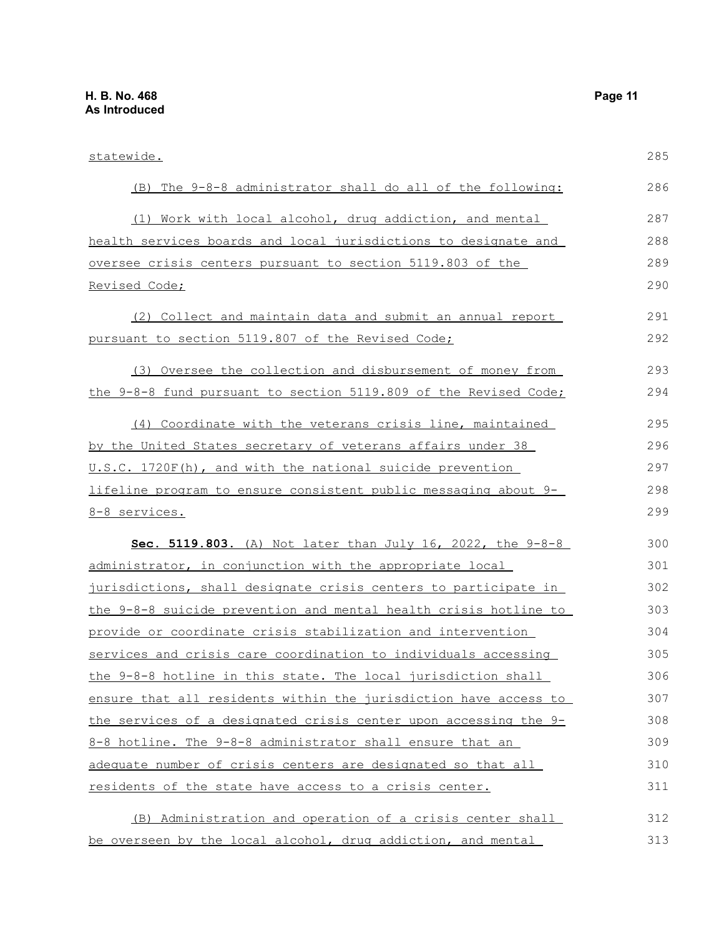| statewide.                                                          | 285 |
|---------------------------------------------------------------------|-----|
| (B) The 9-8-8 administrator shall do all of the following:          | 286 |
| (1) Work with local alcohol, drug addiction, and mental             | 287 |
| health services boards and local jurisdictions to designate and     | 288 |
| oversee crisis centers pursuant to section 5119.803 of the          | 289 |
| Revised Code;                                                       | 290 |
| (2) Collect and maintain data and submit an annual report           | 291 |
| pursuant to section 5119.807 of the Revised Code;                   | 292 |
| (3) Oversee the collection and disbursement of money from           | 293 |
| the 9-8-8 fund pursuant to section 5119.809 of the Revised Code;    | 294 |
| (4) Coordinate with the veterans crisis line, maintained            | 295 |
| by the United States secretary of veterans affairs under 38         | 296 |
| U.S.C. 1720F(h), and with the national suicide prevention           | 297 |
| lifeline program to ensure consistent public messaging about 9-     | 298 |
| 8-8 services.                                                       | 299 |
| <b>Sec. 5119.803.</b> (A) Not later than July 16, 2022, the $9-8-8$ | 300 |
| administrator, in conjunction with the appropriate local            | 301 |
| jurisdictions, shall designate crisis centers to participate in     | 302 |
| the 9-8-8 suicide prevention and mental health crisis hotline to    | 303 |
| provide or coordinate crisis stabilization and intervention         | 304 |
| services and crisis care coordination to individuals accessing      | 305 |
| the 9-8-8 hotline in this state. The local jurisdiction shall       | 306 |
| ensure that all residents within the jurisdiction have access to    | 307 |
| the services of a designated crisis center upon accessing the 9-    | 308 |
| 8-8 hotline. The 9-8-8 administrator shall ensure that an           | 309 |
| adequate number of crisis centers are designated so that all        | 310 |
| residents of the state have access to a crisis center.              | 311 |
| (B) Administration and operation of a crisis center shall           | 312 |
| be overseen by the local alcohol, drug addiction, and mental        | 313 |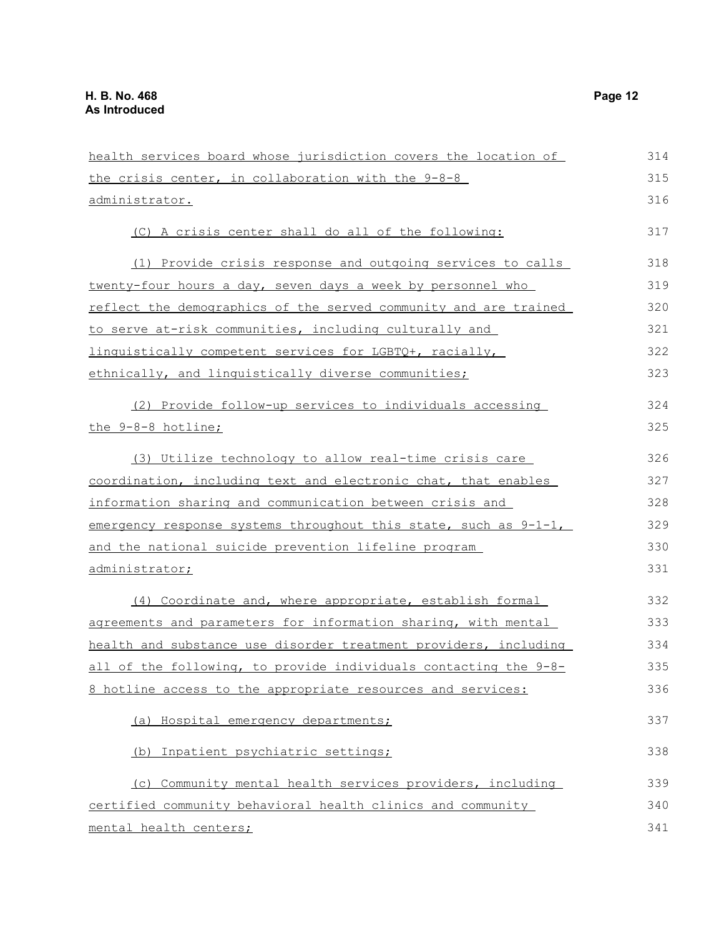| health services board whose jurisdiction covers the location of  | 314 |
|------------------------------------------------------------------|-----|
| the crisis center, in collaboration with the 9-8-8               | 315 |
| <u>administrator.</u>                                            | 316 |
| (C) A crisis center shall do all of the following:               | 317 |
| (1) Provide crisis response and outgoing services to calls       | 318 |
| twenty-four hours a day, seven days a week by personnel who      | 319 |
| reflect the demographics of the served community and are trained | 320 |
| to serve at-risk communities, including culturally and           | 321 |
| linquistically competent services for LGBTQ+, racially,          | 322 |
| ethnically, and linguistically diverse communities;              | 323 |
| (2) Provide follow-up services to individuals accessing          | 324 |
| the 9-8-8 hotline;                                               | 325 |
| (3) Utilize technology to allow real-time crisis care            | 326 |
| coordination, including text and electronic chat, that enables   | 327 |
| information sharing and communication between crisis and         | 328 |
| emergency response systems throughout this state, such as 9-1-1, | 329 |
| and the national suicide prevention lifeline program             | 330 |
| <u>administrator;</u>                                            | 331 |
| (4) Coordinate and, where appropriate, establish formal          | 332 |
| agreements and parameters for information sharing, with mental   | 333 |
| health and substance use disorder treatment providers, including | 334 |
| all of the following, to provide individuals contacting the 9-8- | 335 |
| 8 hotline access to the appropriate resources and services:      | 336 |
| (a) Hospital emergency departments;                              | 337 |
| (b) Inpatient psychiatric settings;                              | 338 |
| (c) Community mental health services providers, including        | 339 |
| certified community behavioral health clinics and community      | 340 |
| mental health centers;                                           | 341 |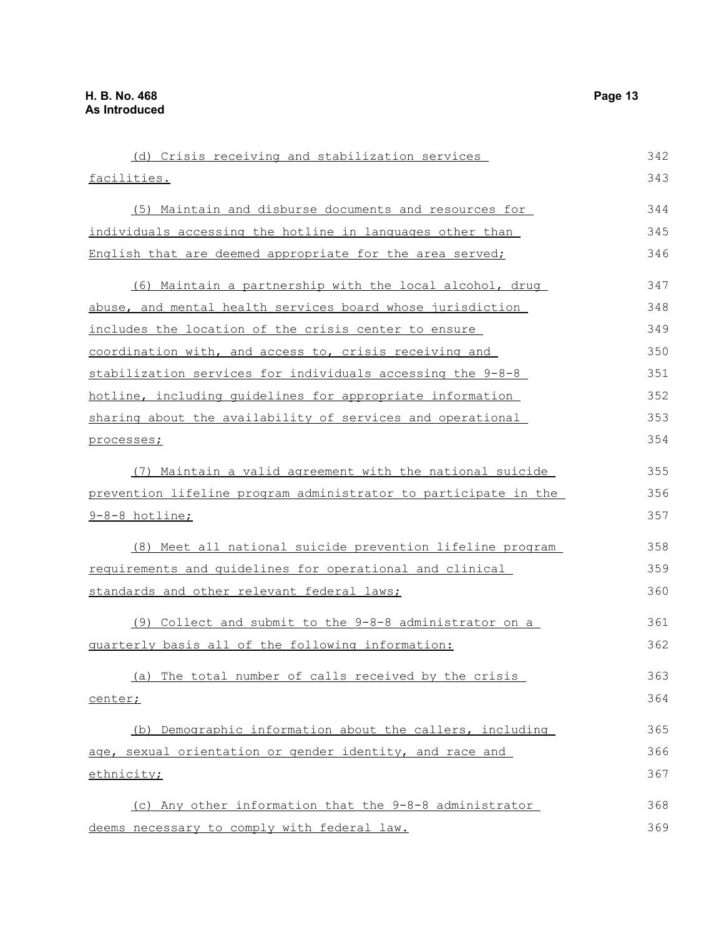| (d) Crisis receiving and stabilization services                 | 342 |
|-----------------------------------------------------------------|-----|
| facilities.                                                     | 343 |
| (5) Maintain and disburse documents and resources for           | 344 |
| individuals accessing the hotline in languages other than       | 345 |
| English that are deemed appropriate for the area served;        | 346 |
| (6) Maintain a partnership with the local alcohol, drug         | 347 |
| abuse, and mental health services board whose jurisdiction      | 348 |
| includes the location of the crisis center to ensure            | 349 |
| coordination with, and access to, crisis receiving and          | 350 |
| stabilization services for individuals accessing the 9-8-8      | 351 |
| hotline, including quidelines for appropriate information       | 352 |
| sharing about the availability of services and operational      | 353 |
| processes;                                                      | 354 |
| (7) Maintain a valid agreement with the national suicide        | 355 |
| prevention lifeline program administrator to participate in the | 356 |
| 9-8-8 hotline;                                                  | 357 |
| (8) Meet all national suicide prevention lifeline program       | 358 |
| requirements and quidelines for operational and clinical        | 359 |
| standards and other relevant federal laws;                      | 360 |
| (9) Collect and submit to the 9-8-8 administrator on a          | 361 |
| quarterly basis all of the following information:               | 362 |
| (a) The total number of calls received by the crisis            | 363 |
| center;                                                         | 364 |
| (b) Demographic information about the callers, including        | 365 |
| age, sexual orientation or gender identity, and race and        | 366 |
| ethnicity;                                                      | 367 |
| (c) Any other information that the 9-8-8 administrator          | 368 |
| deems necessary to comply with federal law.                     | 369 |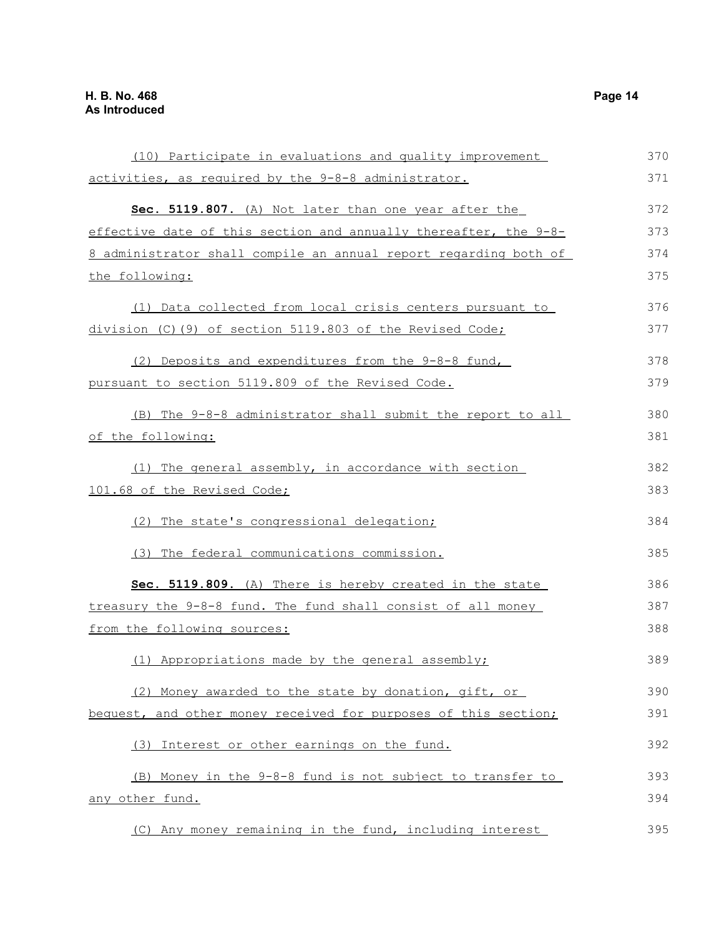| (10) Participate in evaluations and quality improvement                 | 370 |
|-------------------------------------------------------------------------|-----|
| activities, as required by the 9-8-8 administrator.                     | 371 |
| Sec. 5119.807. (A) Not later than one year after the                    | 372 |
| effective date of this section and annually thereafter, the 9-8-        | 373 |
| <u>8 administrator shall compile an annual report regarding both of</u> | 374 |
| the following:                                                          | 375 |
| (1) Data collected from local crisis centers pursuant to                | 376 |
| division (C) (9) of section 5119.803 of the Revised Code;               | 377 |
| (2) Deposits and expenditures from the 9-8-8 fund,                      | 378 |
| pursuant to section 5119.809 of the Revised Code.                       | 379 |
| (B) The 9-8-8 administrator shall submit the report to all              | 380 |
| of the following:                                                       | 381 |
| (1) The general assembly, in accordance with section                    | 382 |
| 101.68 of the Revised Code;                                             | 383 |
| (2) The state's congressional delegation;                               | 384 |
| (3) The federal communications commission.                              | 385 |
| Sec. 5119.809. (A) There is hereby created in the state                 | 386 |
| treasury the 9-8-8 fund. The fund shall consist of all money            | 387 |
| from the following sources:                                             | 388 |
| (1) Appropriations made by the general assembly;                        | 389 |
| (2) Money awarded to the state by donation, gift, or                    | 390 |
| bequest, and other money received for purposes of this section;         | 391 |
| (3) Interest or other earnings on the fund.                             | 392 |
| (B) Money in the 9-8-8 fund is not subject to transfer to               | 393 |
| any other fund.                                                         | 394 |
| (C) Any money remaining in the fund, including interest                 | 395 |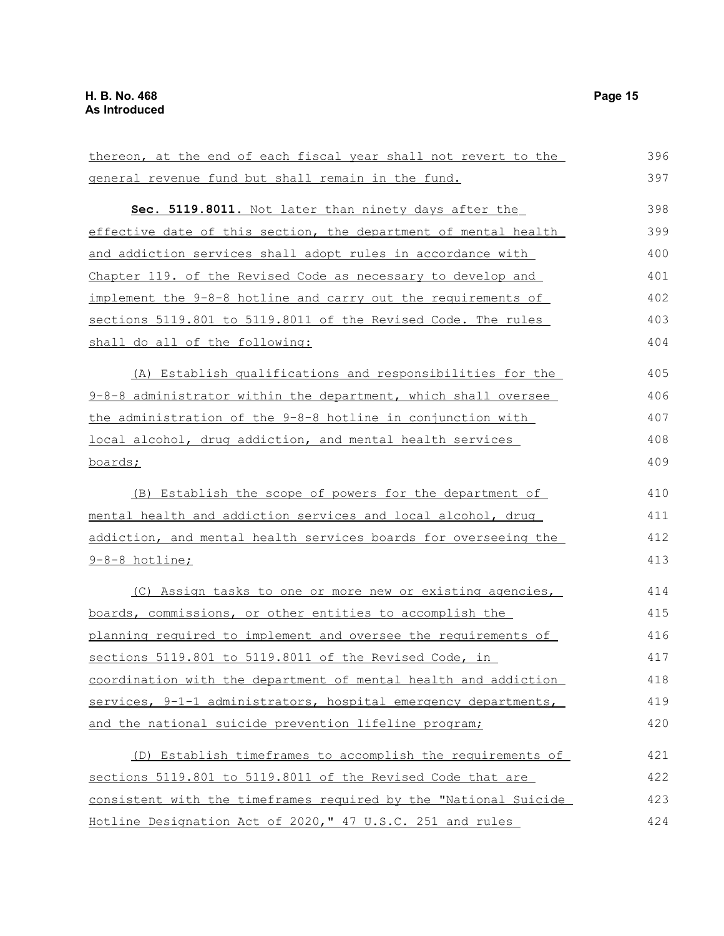| thereon, at the end of each fiscal year shall not revert to the  | 396 |
|------------------------------------------------------------------|-----|
| general revenue fund but shall remain in the fund.               | 397 |
| Sec. 5119.8011. Not later than ninety days after the             | 398 |
| effective date of this section, the department of mental health  | 399 |
| and addiction services shall adopt rules in accordance with      | 400 |
| Chapter 119. of the Revised Code as necessary to develop and     | 401 |
| implement the 9-8-8 hotline and carry out the requirements of    | 402 |
| sections 5119.801 to 5119.8011 of the Revised Code. The rules    | 403 |
| shall do all of the following:                                   | 404 |
| (A) Establish qualifications and responsibilities for the        | 405 |
| 9-8-8 administrator within the department, which shall oversee   | 406 |
| the administration of the 9-8-8 hotline in conjunction with      | 407 |
| local alcohol, drug addiction, and mental health services        | 408 |
| boards;                                                          | 409 |
| (B) Establish the scope of powers for the department of          | 410 |
| mental health and addiction services and local alcohol, drug     | 411 |
| addiction, and mental health services boards for overseeing the  | 412 |
| <u>9-8-8 hotline;</u>                                            | 413 |
| (C) Assign tasks to one or more new or existing agencies,        | 414 |
| boards, commissions, or other entities to accomplish the         | 415 |
| planning required to implement and oversee the requirements of   | 416 |
| sections 5119.801 to 5119.8011 of the Revised Code, in           | 417 |
| coordination with the department of mental health and addiction  | 418 |
| services, 9-1-1 administrators, hospital emergency departments,  | 419 |
| and the national suicide prevention lifeline program;            | 420 |
| (D) Establish timeframes to accomplish the requirements of       | 421 |
| sections 5119.801 to 5119.8011 of the Revised Code that are      | 422 |
| consistent with the timeframes required by the "National Suicide | 423 |
| Hotline Designation Act of 2020," 47 U.S.C. 251 and rules        | 424 |